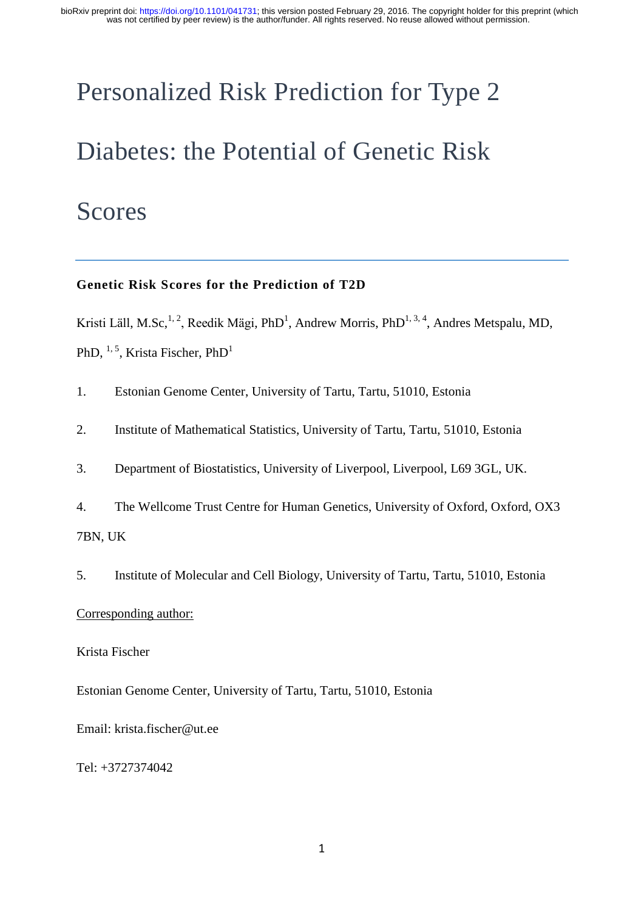# Personalized Risk Prediction for Type 2 Diabetes: the Potential of Genetic Risk

## Scores

#### **Genetic Risk Scores for the Prediction of T2D**

Kristi Läll, M.Sc,<sup>1,2</sup>, Reedik Mägi, PhD<sup>1</sup>, Andrew Morris, PhD<sup>1,3,4</sup>, Andres Metspalu, MD, PhD,  $^{1, 5}$ , Krista Fischer, PhD<sup>1</sup>

1. Estonian Genome Center, University of Tartu, Tartu, 51010, Estonia

2. Institute of Mathematical Statistics, University of Tartu, Tartu, 51010, Estonia

3. Department of Biostatistics, University of Liverpool, Liverpool, L69 3GL, UK.

4. The Wellcome Trust Centre for Human Genetics, University of Oxford, Oxford, OX3 7BN, UK

5. Institute of Molecular and Cell Biology, University of Tartu, Tartu, 51010, Estonia

#### Corresponding author:

Krista Fischer

Estonian Genome Center, University of Tartu, Tartu, 51010, Estonia

Email: krista.fischer@ut.ee

Tel: +3727374042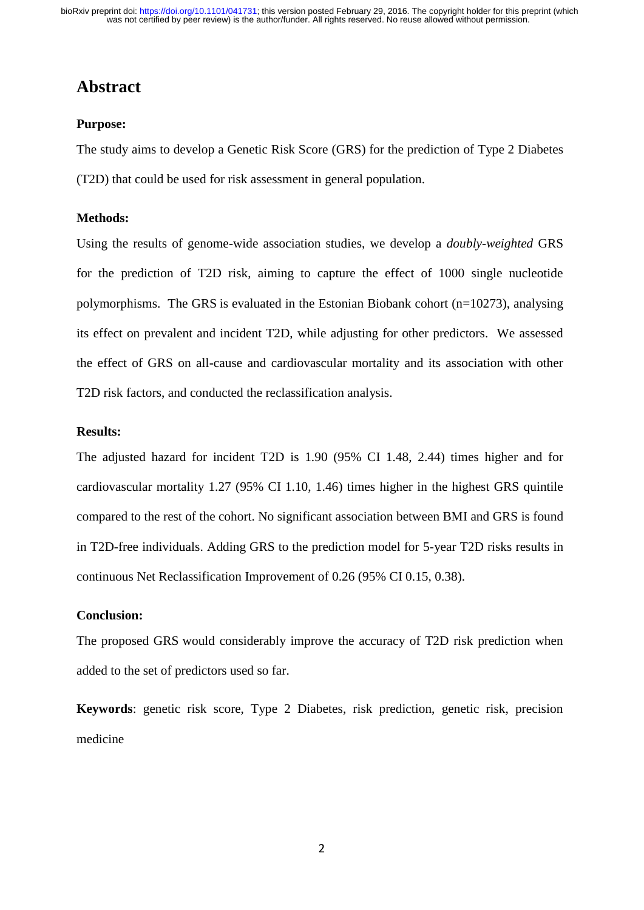## **Abstract**

#### **Purpose:**

The study aims to develop a Genetic Risk Score (GRS) for the prediction of Type 2 Diabetes (T2D) that could be used for risk assessment in general population.

#### **Methods:**

Using the results of genome-wide association studies, we develop a *doubly-weighted* GRS for the prediction of T2D risk, aiming to capture the effect of 1000 single nucleotide polymorphisms. The GRS is evaluated in the Estonian Biobank cohort (n=10273), analysing its effect on prevalent and incident T2D, while adjusting for other predictors. We assessed the effect of GRS on all-cause and cardiovascular mortality and its association with other T2D risk factors, and conducted the reclassification analysis.

#### **Results:**

The adjusted hazard for incident T2D is 1.90 (95% CI 1.48, 2.44) times higher and for cardiovascular mortality 1.27 (95% CI 1.10, 1.46) times higher in the highest GRS quintile compared to the rest of the cohort. No significant association between BMI and GRS is found in T2D-free individuals. Adding GRS to the prediction model for 5-year T2D risks results in continuous Net Reclassification Improvement of 0.26 (95% CI 0.15, 0.38).

#### **Conclusion:**

The proposed GRS would considerably improve the accuracy of T2D risk prediction when added to the set of predictors used so far.

**Keywords**: genetic risk score, Type 2 Diabetes, risk prediction, genetic risk, precision medicine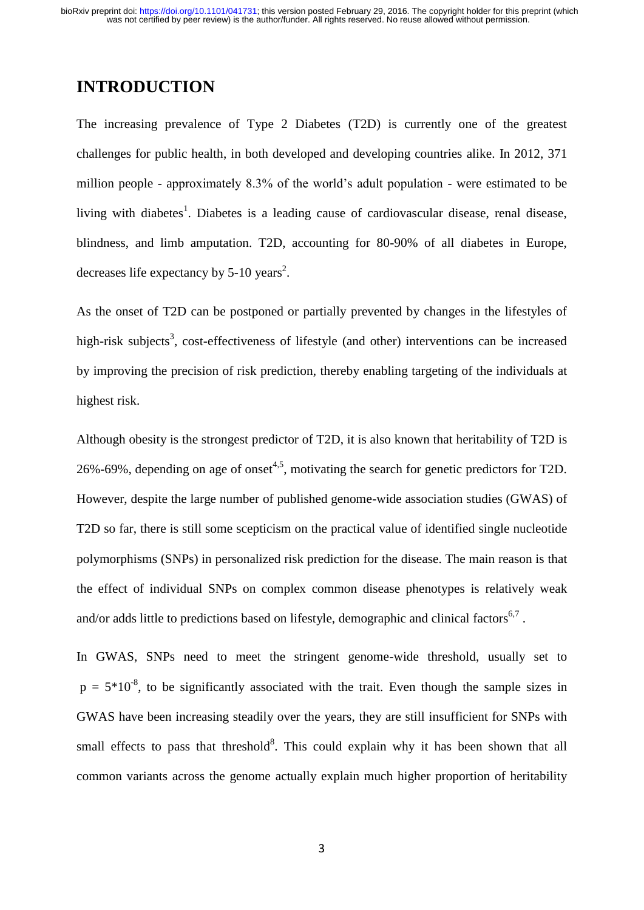## **INTRODUCTION**

The increasing prevalence of Type 2 Diabetes (T2D) is currently one of the greatest challenges for public health, in both developed and developing countries alike. In 2012, 371 million people - approximately 8.3% of the world's adult population - were estimated to be living with diabetes<sup>1</sup>. Diabetes is a leading cause of cardiovascular disease, renal disease, blindness, and limb amputation. T2D, accounting for 80-90% of all diabetes in Europe, decreases life expectancy by  $5-10$  years<sup>2</sup>.

As the onset of T2D can be postponed or partially prevented by changes in the lifestyles of high-risk subjects<sup>3</sup>, cost-effectiveness of lifestyle (and other) interventions can be increased by improving the precision of risk prediction, thereby enabling targeting of the individuals at highest risk.

Although obesity is the strongest predictor of T2D, it is also known that heritability of T2D is 26%-69%, depending on age of onset<sup>4,5</sup>, motivating the search for genetic predictors for T2D. However, despite the large number of published genome-wide association studies (GWAS) of T2D so far, there is still some scepticism on the practical value of identified single nucleotide polymorphisms (SNPs) in personalized risk prediction for the disease. The main reason is that the effect of individual SNPs on complex common disease phenotypes is relatively weak and/or adds little to predictions based on lifestyle, demographic and clinical factors<sup>6,7</sup>.

In GWAS, SNPs need to meet the stringent genome-wide threshold, usually set to  $p = 5*10<sup>-8</sup>$ , to be significantly associated with the trait. Even though the sample sizes in GWAS have been increasing steadily over the years, they are still insufficient for SNPs with small effects to pass that threshold<sup>8</sup>. This could explain why it has been shown that all common variants across the genome actually explain much higher proportion of heritability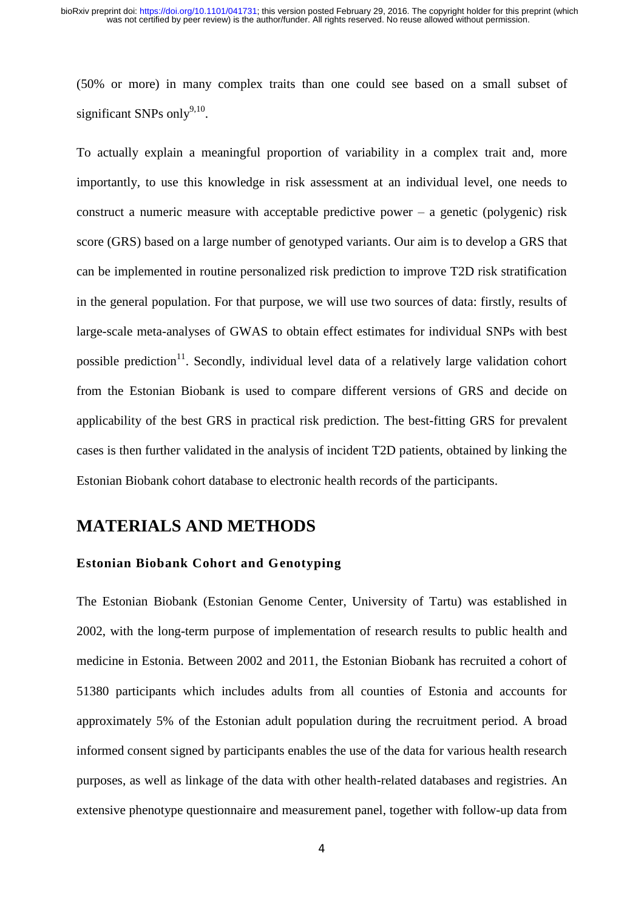(50% or more) in many complex traits than one could see based on a small subset of significant SNPs only $9,10$ .

To actually explain a meaningful proportion of variability in a complex trait and, more importantly, to use this knowledge in risk assessment at an individual level, one needs to construct a numeric measure with acceptable predictive power – a genetic (polygenic) risk score (GRS) based on a large number of genotyped variants. Our aim is to develop a GRS that can be implemented in routine personalized risk prediction to improve T2D risk stratification in the general population. For that purpose, we will use two sources of data: firstly, results of large-scale meta-analyses of GWAS to obtain effect estimates for individual SNPs with best possible prediction<sup>11</sup>. Secondly, individual level data of a relatively large validation cohort from the Estonian Biobank is used to compare different versions of GRS and decide on applicability of the best GRS in practical risk prediction. The best-fitting GRS for prevalent cases is then further validated in the analysis of incident T2D patients, obtained by linking the Estonian Biobank cohort database to electronic health records of the participants.

## **MATERIALS AND METHODS**

#### **Estonian Biobank Cohort and Genotyping**

The Estonian Biobank (Estonian Genome Center, University of Tartu) was established in 2002, with the long-term purpose of implementation of research results to public health and medicine in Estonia. Between 2002 and 2011, the Estonian Biobank has recruited a cohort of 51380 participants which includes adults from all counties of Estonia and accounts for approximately 5% of the Estonian adult population during the recruitment period. A broad informed consent signed by participants enables the use of the data for various health research purposes, as well as linkage of the data with other health-related databases and registries. An extensive phenotype questionnaire and measurement panel, together with follow-up data from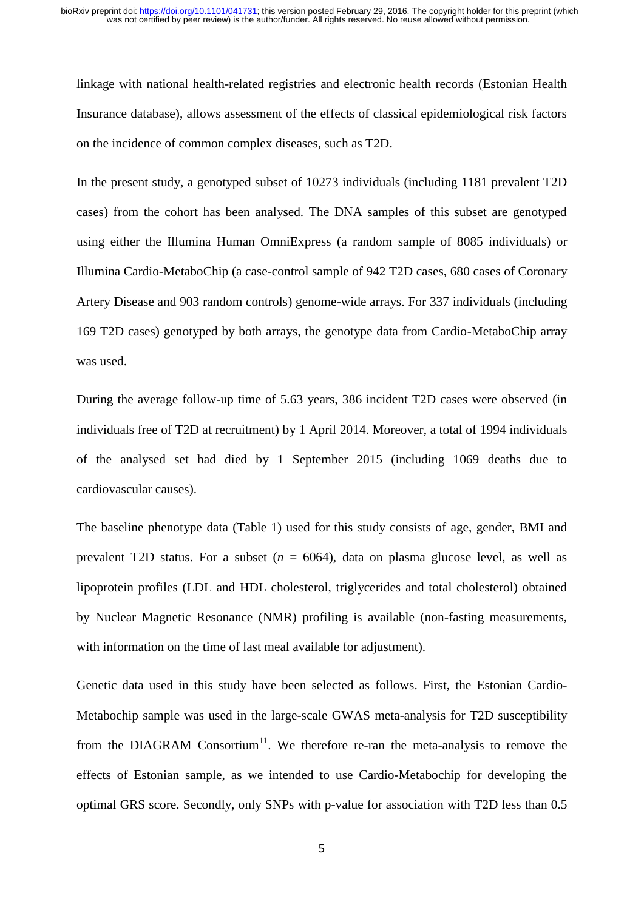linkage with national health-related registries and electronic health records (Estonian Health Insurance database), allows assessment of the effects of classical epidemiological risk factors on the incidence of common complex diseases, such as T2D.

In the present study, a genotyped subset of 10273 individuals (including 1181 prevalent T2D cases) from the cohort has been analysed. The DNA samples of this subset are genotyped using either the Illumina Human OmniExpress (a random sample of 8085 individuals) or Illumina Cardio-MetaboChip (a case-control sample of 942 T2D cases, 680 cases of Coronary Artery Disease and 903 random controls) genome-wide arrays. For 337 individuals (including 169 T2D cases) genotyped by both arrays, the genotype data from Cardio-MetaboChip array was used.

During the average follow-up time of 5.63 years, 386 incident T2D cases were observed (in individuals free of T2D at recruitment) by 1 April 2014. Moreover, a total of 1994 individuals of the analysed set had died by 1 September 2015 (including 1069 deaths due to cardiovascular causes).

The baseline phenotype data (Table 1) used for this study consists of age, gender, BMI and prevalent T2D status. For a subset  $(n = 6064)$ , data on plasma glucose level, as well as lipoprotein profiles (LDL and HDL cholesterol, triglycerides and total cholesterol) obtained by Nuclear Magnetic Resonance (NMR) profiling is available (non-fasting measurements, with information on the time of last meal available for adjustment).

Genetic data used in this study have been selected as follows. First, the Estonian Cardio-Metabochip sample was used in the large-scale GWAS meta-analysis for T2D susceptibility from the DIAGRAM Consortium<sup>11</sup>. We therefore re-ran the meta-analysis to remove the effects of Estonian sample, as we intended to use Cardio-Metabochip for developing the optimal GRS score. Secondly, only SNPs with p-value for association with T2D less than 0.5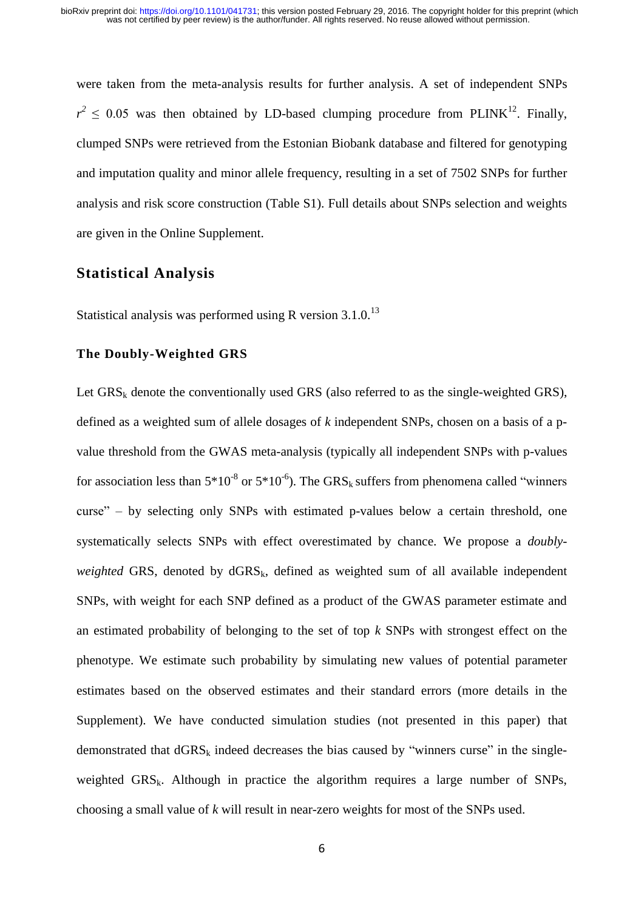were taken from the meta-analysis results for further analysis. A set of independent SNPs  $r^2 \leq 0.05$  was then obtained by LD-based clumping procedure from PLINK<sup>12</sup>. Finally, clumped SNPs were retrieved from the Estonian Biobank database and filtered for genotyping and imputation quality and minor allele frequency, resulting in a set of 7502 SNPs for further analysis and risk score construction (Table S1). Full details about SNPs selection and weights are given in the Online Supplement.

#### **Statistical Analysis**

Statistical analysis was performed using R version  $3.1.0^{13}$ 

#### **The Doubly-Weighted GRS**

Let  $GRS_k$  denote the conventionally used GRS (also referred to as the single-weighted GRS), defined as a weighted sum of allele dosages of *k* independent SNPs, chosen on a basis of a pvalue threshold from the GWAS meta-analysis (typically all independent SNPs with p-values for association less than  $5*10^{-8}$  or  $5*10^{-6}$ ). The GRS<sub>k</sub> suffers from phenomena called "winners" curse" – by selecting only SNPs with estimated p-values below a certain threshold, one systematically selects SNPs with effect overestimated by chance. We propose a *doublyweighted* GRS, denoted by  $dGRS_k$ , defined as weighted sum of all available independent SNPs, with weight for each SNP defined as a product of the GWAS parameter estimate and an estimated probability of belonging to the set of top *k* SNPs with strongest effect on the phenotype. We estimate such probability by simulating new values of potential parameter estimates based on the observed estimates and their standard errors (more details in the Supplement). We have conducted simulation studies (not presented in this paper) that demonstrated that  $dGRS_k$  indeed decreases the bias caused by "winners curse" in the singleweighted  $GRS_k$ . Although in practice the algorithm requires a large number of SNPs, choosing a small value of *k* will result in near-zero weights for most of the SNPs used.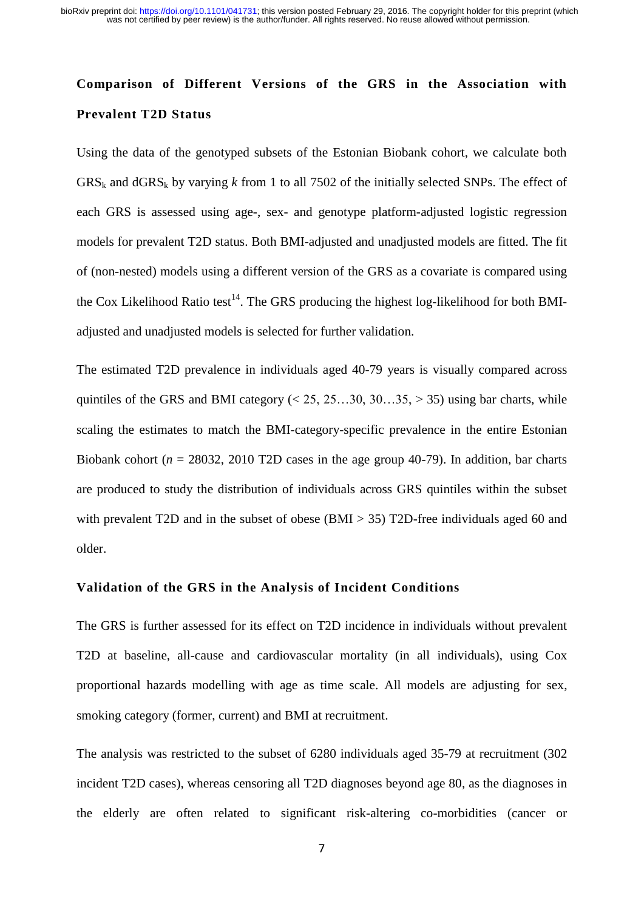## **Comparison of Different Versions of the GRS in the Association with Prevalent T2D Status**

Using the data of the genotyped subsets of the Estonian Biobank cohort, we calculate both  $GRS_k$  and  $dGRS_k$  by varying k from 1 to all 7502 of the initially selected SNPs. The effect of each GRS is assessed using age-, sex- and genotype platform-adjusted logistic regression models for prevalent T2D status. Both BMI-adjusted and unadjusted models are fitted. The fit of (non-nested) models using a different version of the GRS as a covariate is compared using the Cox Likelihood Ratio test<sup>14</sup>. The GRS producing the highest log-likelihood for both BMIadjusted and unadjusted models is selected for further validation.

The estimated T2D prevalence in individuals aged 40-79 years is visually compared across quintiles of the GRS and BMI category  $( $25, 25...30, 30...35, > 35$ )$  using bar charts, while scaling the estimates to match the BMI-category-specific prevalence in the entire Estonian Biobank cohort ( $n = 28032$ , 2010 T2D cases in the age group 40-79). In addition, bar charts are produced to study the distribution of individuals across GRS quintiles within the subset with prevalent T2D and in the subset of obese (BMI > 35) T2D-free individuals aged 60 and older.

#### **Validation of the GRS in the Analysis of Incident Conditions**

The GRS is further assessed for its effect on T2D incidence in individuals without prevalent T2D at baseline, all-cause and cardiovascular mortality (in all individuals), using Cox proportional hazards modelling with age as time scale. All models are adjusting for sex, smoking category (former, current) and BMI at recruitment.

The analysis was restricted to the subset of 6280 individuals aged 35-79 at recruitment (302 incident T2D cases), whereas censoring all T2D diagnoses beyond age 80, as the diagnoses in the elderly are often related to significant risk-altering co-morbidities (cancer or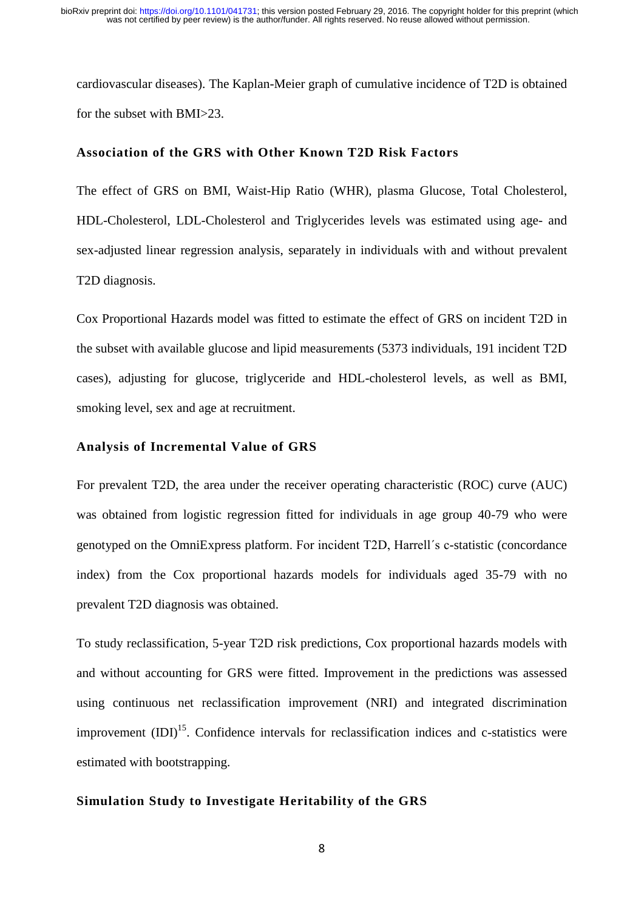cardiovascular diseases). The Kaplan-Meier graph of cumulative incidence of T2D is obtained for the subset with BMI>23.

#### **Association of the GRS with Other Known T2D Risk Factors**

The effect of GRS on BMI, Waist-Hip Ratio (WHR), plasma Glucose, Total Cholesterol, HDL-Cholesterol, LDL-Cholesterol and Triglycerides levels was estimated using age- and sex-adjusted linear regression analysis, separately in individuals with and without prevalent T2D diagnosis.

Cox Proportional Hazards model was fitted to estimate the effect of GRS on incident T2D in the subset with available glucose and lipid measurements (5373 individuals, 191 incident T2D cases), adjusting for glucose, triglyceride and HDL-cholesterol levels, as well as BMI, smoking level, sex and age at recruitment.

#### **Analysis of Incremental Value of GRS**

For prevalent T2D, the area under the receiver operating characteristic (ROC) curve (AUC) was obtained from logistic regression fitted for individuals in age group 40-79 who were genotyped on the OmniExpress platform. For incident T2D, Harrell´s c-statistic (concordance index) from the Cox proportional hazards models for individuals aged 35-79 with no prevalent T2D diagnosis was obtained.

To study reclassification, 5-year T2D risk predictions, Cox proportional hazards models with and without accounting for GRS were fitted. Improvement in the predictions was assessed using continuous net reclassification improvement (NRI) and integrated discrimination improvement  $(IDI)^{15}$ . Confidence intervals for reclassification indices and c-statistics were estimated with bootstrapping.

#### **Simulation Study to Investigate Heritability of the GRS**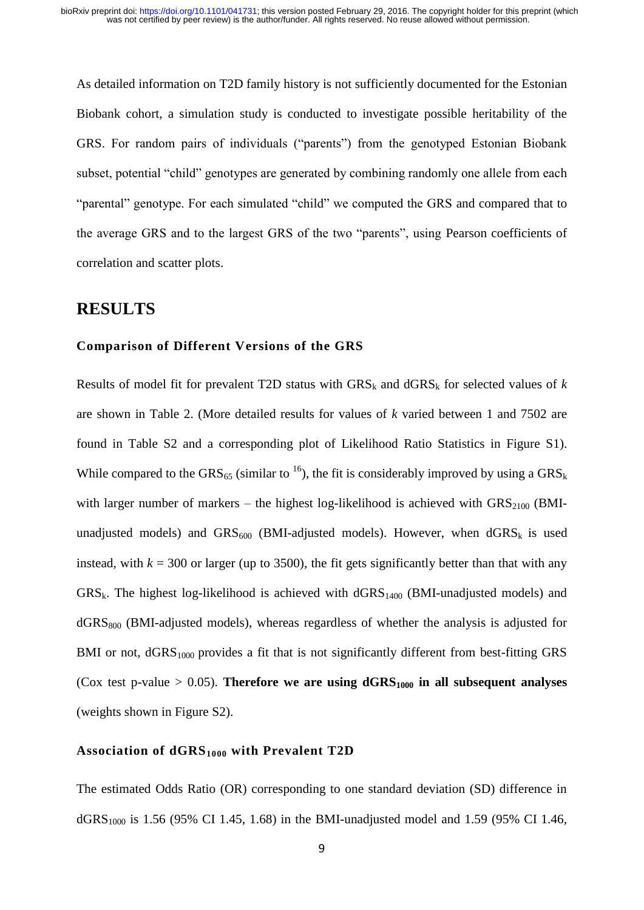As detailed information on T2D family history is not sufficiently documented for the Estonian Biobank cohort, a simulation study is conducted to investigate possible heritability of the GRS. For random pairs of individuals ("parents") from the genotyped Estonian Biobank subset, potential "child" genotypes are generated by combining randomly one allele from each "parental" genotype. For each simulated "child" we computed the GRS and compared that to the average GRS and to the largest GRS of the two "parents", using Pearson coefficients of correlation and scatter plots.

#### **RESULTS**

#### **Comparison of Different Versions of the GRS**

Results of model fit for prevalent T2D status with  $GRS_k$  and  $dGRS_k$  for selected values of  $k$ are shown in Table 2. (More detailed results for values of *k* varied between 1 and 7502 are found in Table S2 and a corresponding plot of Likelihood Ratio Statistics in Figure S1). While compared to the GRS<sub>65</sub> (similar to <sup>16</sup>), the fit is considerably improved by using a GRS<sub>k</sub> with larger number of markers – the highest log-likelihood is achieved with  $GRS<sub>2100</sub>$  (BMIunadjusted models) and GRS<sub>600</sub> (BMI-adjusted models). However, when  $dGRS_k$  is used instead, with  $k = 300$  or larger (up to 3500), the fit gets significantly better than that with any  $GRS_k$ . The highest log-likelihood is achieved with  $dGRS<sub>1400</sub>$  (BMI-unadjusted models) and  $dGRS<sub>800</sub>$  (BMI-adjusted models), whereas regardless of whether the analysis is adjusted for BMI or not,  $dGRS<sub>1000</sub>$  provides a fit that is not significantly different from best-fitting GRS (Cox test p-value  $> 0.05$ ). **Therefore we are using**  $dGRS<sub>1000</sub>$  **in all subsequent analyses** (weights shown in Figure S2).

#### **Association of dGRS<sup>1000</sup> with Prevalent T2D**

The estimated Odds Ratio (OR) corresponding to one standard deviation (SD) difference in  $dGRS<sub>1000</sub>$  is 1.56 (95% CI 1.45, 1.68) in the BMI-unadjusted model and 1.59 (95% CI 1.46,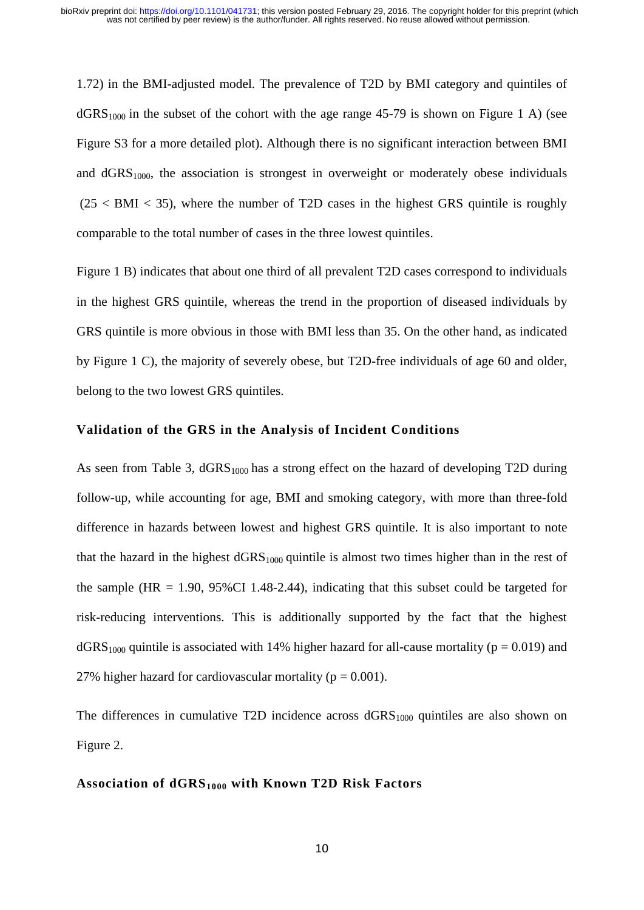1.72) in the BMI-adjusted model. The prevalence of T2D by BMI category and quintiles of  $dGRS<sub>1000</sub>$  in the subset of the cohort with the age range 45-79 is shown on Figure 1 A) (see Figure S3 for a more detailed plot). Although there is no significant interaction between BMI and  $dGRS<sub>1000</sub>$ , the association is strongest in overweight or moderately obese individuals  $(25 < BMI < 35)$ , where the number of T2D cases in the highest GRS quintile is roughly comparable to the total number of cases in the three lowest quintiles.

Figure 1 B) indicates that about one third of all prevalent T2D cases correspond to individuals in the highest GRS quintile, whereas the trend in the proportion of diseased individuals by GRS quintile is more obvious in those with BMI less than 35. On the other hand, as indicated by Figure 1 C), the majority of severely obese, but T2D-free individuals of age 60 and older, belong to the two lowest GRS quintiles.

#### **Validation of the GRS in the Analysis of Incident Conditions**

As seen from Table 3,  $\text{dGRS}_{1000}$  has a strong effect on the hazard of developing T2D during follow-up, while accounting for age, BMI and smoking category, with more than three-fold difference in hazards between lowest and highest GRS quintile. It is also important to note that the hazard in the highest  $dGRS<sub>1000</sub>$  quintile is almost two times higher than in the rest of the sample (HR  $= 1.90$ , 95%CI 1.48-2.44), indicating that this subset could be targeted for risk-reducing interventions. This is additionally supported by the fact that the highest  $dGRS<sub>1000</sub>$  quintile is associated with 14% higher hazard for all-cause mortality ( $p = 0.019$ ) and 27% higher hazard for cardiovascular mortality ( $p = 0.001$ ).

The differences in cumulative T2D incidence across  $dGRS<sub>1000</sub>$  quintiles are also shown on Figure 2.

#### **Association of dGRS1000 with Known T2D Risk Factors**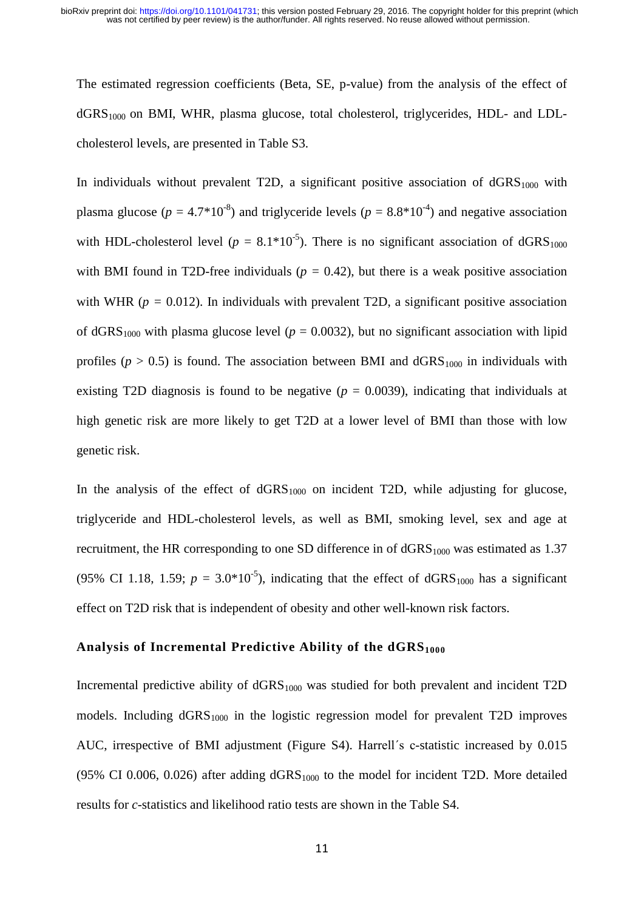The estimated regression coefficients (Beta, SE, p-value) from the analysis of the effect of  $dGRS<sub>1000</sub>$  on BMI, WHR, plasma glucose, total cholesterol, triglycerides, HDL- and LDLcholesterol levels, are presented in Table S3.

In individuals without prevalent T2D, a significant positive association of  $dGRS<sub>1000</sub>$  with plasma glucose ( $p = 4.7*10^{-8}$ ) and triglyceride levels ( $p = 8.8*10^{-4}$ ) and negative association with HDL-cholesterol level ( $p = 8.1*10^{-5}$ ). There is no significant association of dGRS<sub>1000</sub> with BMI found in T2D-free individuals ( $p = 0.42$ ), but there is a weak positive association with WHR ( $p = 0.012$ ). In individuals with prevalent T2D, a significant positive association of dGRS<sub>1000</sub> with plasma glucose level ( $p = 0.0032$ ), but no significant association with lipid profiles ( $p > 0.5$ ) is found. The association between BMI and  $dGRS<sub>1000</sub>$  in individuals with existing T2D diagnosis is found to be negative  $(p = 0.0039)$ , indicating that individuals at high genetic risk are more likely to get T2D at a lower level of BMI than those with low genetic risk.

In the analysis of the effect of  $dGRS<sub>1000</sub>$  on incident T2D, while adjusting for glucose, triglyceride and HDL-cholesterol levels, as well as BMI, smoking level, sex and age at recruitment, the HR corresponding to one SD difference in of dGRS<sub>1000</sub> was estimated as 1.37 (95% CI 1.18, 1.59;  $p = 3.0*10^{-5}$ ), indicating that the effect of dGRS<sub>1000</sub> has a significant effect on T2D risk that is independent of obesity and other well-known risk factors.

#### **Analysis of Incremental Predictive Ability of the dGRS<sup>1000</sup>**

Incremental predictive ability of  $dGRS<sub>1000</sub>$  was studied for both prevalent and incident T2D models. Including  $dGRS<sub>1000</sub>$  in the logistic regression model for prevalent T2D improves AUC, irrespective of BMI adjustment (Figure S4). Harrell´s c-statistic increased by 0.015 (95% CI 0.006, 0.026) after adding  $dGRS<sub>1000</sub>$  to the model for incident T2D. More detailed results for *c*-statistics and likelihood ratio tests are shown in the Table S4.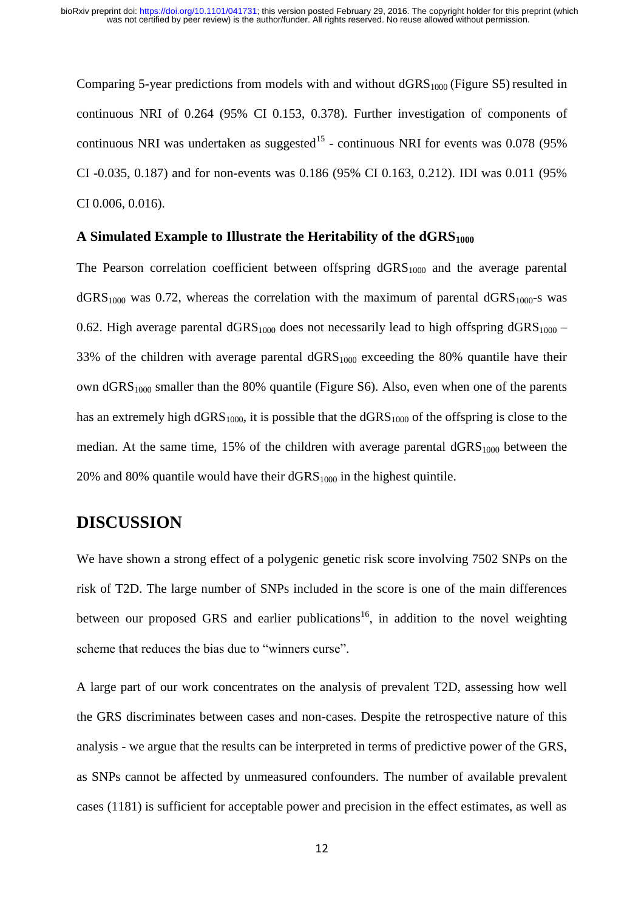Comparing 5-year predictions from models with and without  $dGRS<sub>1000</sub>$  (Figure S5) resulted in continuous NRI of 0.264 (95% CI 0.153, 0.378). Further investigation of components of continuous NRI was undertaken as suggested<sup>15</sup> - continuous NRI for events was 0.078 (95%) CI -0.035, 0.187) and for non-events was 0.186 (95% CI 0.163, 0.212). IDI was 0.011 (95% CI 0.006, 0.016).

#### **A Simulated Example to Illustrate the Heritability of the dGRS<sup>1000</sup>**

The Pearson correlation coefficient between offspring  $dGRS<sub>1000</sub>$  and the average parental  $dGRS<sub>1000</sub>$  was 0.72, whereas the correlation with the maximum of parental  $dGRS<sub>1000</sub>$ -s was 0.62. High average parental  $dGRS<sub>1000</sub>$  does not necessarily lead to high offspring  $dGRS<sub>1000</sub>$  – 33% of the children with average parental  $dGRS<sub>1000</sub>$  exceeding the 80% quantile have their own  $dGRS<sub>1000</sub>$  smaller than the 80% quantile (Figure S6). Also, even when one of the parents has an extremely high  $dGRS<sub>1000</sub>$ , it is possible that the  $dGRS<sub>1000</sub>$  of the offspring is close to the median. At the same time, 15% of the children with average parental  $dGRS<sub>1000</sub>$  between the 20% and 80% quantile would have their  $dGRS<sub>1000</sub>$  in the highest quintile.

### **DISCUSSION**

We have shown a strong effect of a polygenic genetic risk score involving 7502 SNPs on the risk of T2D. The large number of SNPs included in the score is one of the main differences between our proposed GRS and earlier publications<sup>16</sup>, in addition to the novel weighting scheme that reduces the bias due to "winners curse".

A large part of our work concentrates on the analysis of prevalent T2D, assessing how well the GRS discriminates between cases and non-cases. Despite the retrospective nature of this analysis - we argue that the results can be interpreted in terms of predictive power of the GRS, as SNPs cannot be affected by unmeasured confounders. The number of available prevalent cases (1181) is sufficient for acceptable power and precision in the effect estimates, as well as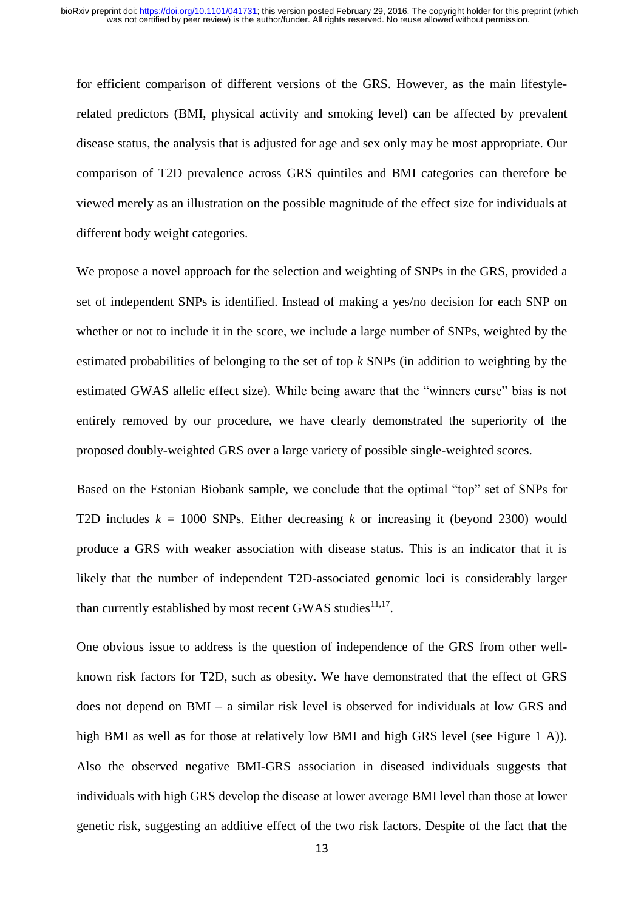for efficient comparison of different versions of the GRS. However, as the main lifestylerelated predictors (BMI, physical activity and smoking level) can be affected by prevalent disease status, the analysis that is adjusted for age and sex only may be most appropriate. Our comparison of T2D prevalence across GRS quintiles and BMI categories can therefore be viewed merely as an illustration on the possible magnitude of the effect size for individuals at different body weight categories.

We propose a novel approach for the selection and weighting of SNPs in the GRS, provided a set of independent SNPs is identified. Instead of making a yes/no decision for each SNP on whether or not to include it in the score, we include a large number of SNPs, weighted by the estimated probabilities of belonging to the set of top *k* SNPs (in addition to weighting by the estimated GWAS allelic effect size). While being aware that the "winners curse" bias is not entirely removed by our procedure, we have clearly demonstrated the superiority of the proposed doubly-weighted GRS over a large variety of possible single-weighted scores.

Based on the Estonian Biobank sample, we conclude that the optimal "top" set of SNPs for T2D includes  $k = 1000$  SNPs. Either decreasing  $k$  or increasing it (beyond 2300) would produce a GRS with weaker association with disease status. This is an indicator that it is likely that the number of independent T2D-associated genomic loci is considerably larger than currently established by most recent GWAS studies $^{11,17}$ .

One obvious issue to address is the question of independence of the GRS from other wellknown risk factors for T2D, such as obesity. We have demonstrated that the effect of GRS does not depend on BMI – a similar risk level is observed for individuals at low GRS and high BMI as well as for those at relatively low BMI and high GRS level (see Figure 1 A)). Also the observed negative BMI-GRS association in diseased individuals suggests that individuals with high GRS develop the disease at lower average BMI level than those at lower genetic risk, suggesting an additive effect of the two risk factors. Despite of the fact that the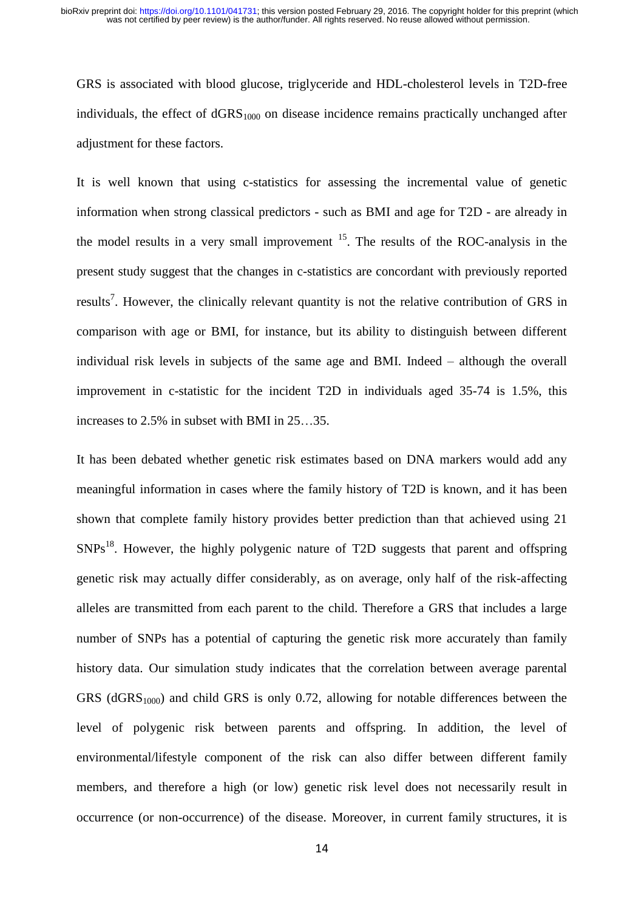GRS is associated with blood glucose, triglyceride and HDL-cholesterol levels in T2D-free individuals, the effect of  $dGRS<sub>1000</sub>$  on disease incidence remains practically unchanged after adjustment for these factors.

It is well known that using c-statistics for assessing the incremental value of genetic information when strong classical predictors - such as BMI and age for T2D - are already in the model results in a very small improvement  $15$ . The results of the ROC-analysis in the present study suggest that the changes in c-statistics are concordant with previously reported results<sup>7</sup>. However, the clinically relevant quantity is not the relative contribution of GRS in comparison with age or BMI, for instance, but its ability to distinguish between different individual risk levels in subjects of the same age and BMI. Indeed – although the overall improvement in c-statistic for the incident T2D in individuals aged 35-74 is 1.5%, this increases to 2.5% in subset with BMI in 25…35.

It has been debated whether genetic risk estimates based on DNA markers would add any meaningful information in cases where the family history of T2D is known, and it has been shown that complete family history provides better prediction than that achieved using 21  $SNPs<sup>18</sup>$ . However, the highly polygenic nature of T2D suggests that parent and offspring genetic risk may actually differ considerably, as on average, only half of the risk-affecting alleles are transmitted from each parent to the child. Therefore a GRS that includes a large number of SNPs has a potential of capturing the genetic risk more accurately than family history data. Our simulation study indicates that the correlation between average parental GRS ( $dGRS<sub>1000</sub>$ ) and child GRS is only 0.72, allowing for notable differences between the level of polygenic risk between parents and offspring. In addition, the level of environmental/lifestyle component of the risk can also differ between different family members, and therefore a high (or low) genetic risk level does not necessarily result in occurrence (or non-occurrence) of the disease. Moreover, in current family structures, it is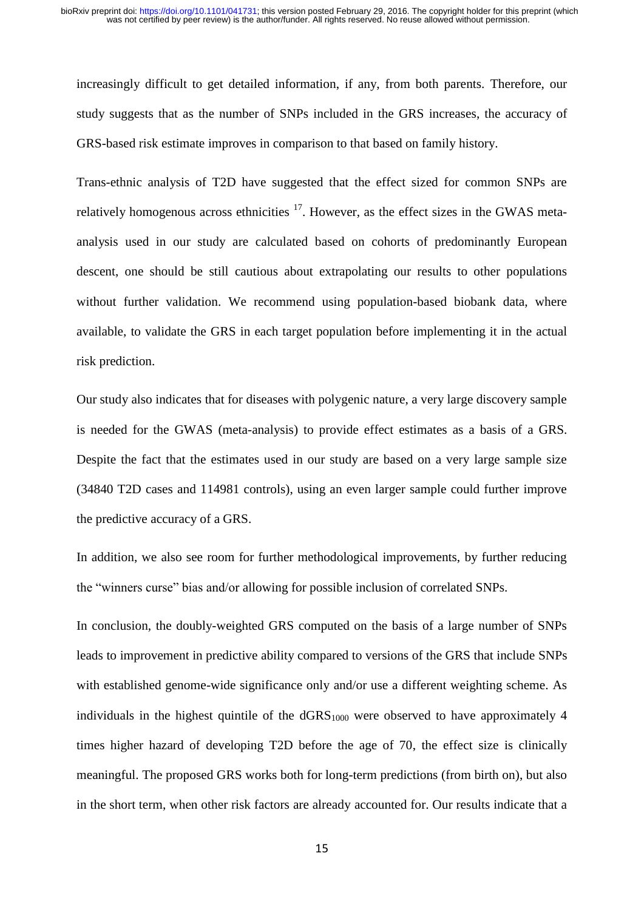increasingly difficult to get detailed information, if any, from both parents. Therefore, our study suggests that as the number of SNPs included in the GRS increases, the accuracy of GRS-based risk estimate improves in comparison to that based on family history.

Trans-ethnic analysis of T2D have suggested that the effect sized for common SNPs are relatively homogenous across ethnicities  $17$ . However, as the effect sizes in the GWAS metaanalysis used in our study are calculated based on cohorts of predominantly European descent, one should be still cautious about extrapolating our results to other populations without further validation. We recommend using population-based biobank data, where available, to validate the GRS in each target population before implementing it in the actual risk prediction.

Our study also indicates that for diseases with polygenic nature, a very large discovery sample is needed for the GWAS (meta-analysis) to provide effect estimates as a basis of a GRS. Despite the fact that the estimates used in our study are based on a very large sample size (34840 T2D cases and 114981 controls), using an even larger sample could further improve the predictive accuracy of a GRS.

In addition, we also see room for further methodological improvements, by further reducing the "winners curse" bias and/or allowing for possible inclusion of correlated SNPs.

In conclusion, the doubly-weighted GRS computed on the basis of a large number of SNPs leads to improvement in predictive ability compared to versions of the GRS that include SNPs with established genome-wide significance only and/or use a different weighting scheme. As individuals in the highest quintile of the  $dGRS<sub>1000</sub>$  were observed to have approximately 4 times higher hazard of developing T2D before the age of 70, the effect size is clinically meaningful. The proposed GRS works both for long-term predictions (from birth on), but also in the short term, when other risk factors are already accounted for. Our results indicate that a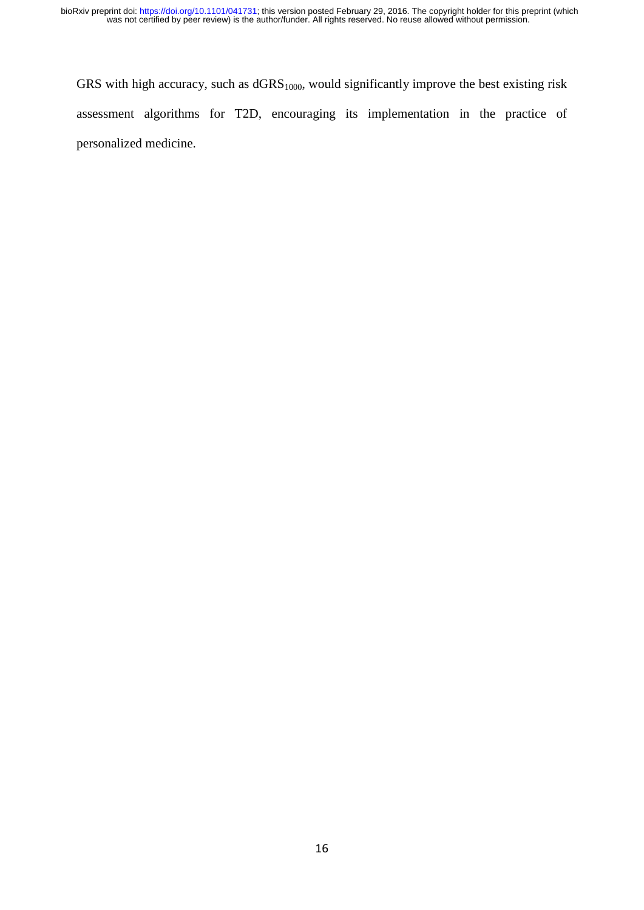GRS with high accuracy, such as  $dGRS<sub>1000</sub>$ , would significantly improve the best existing risk assessment algorithms for T2D, encouraging its implementation in the practice of personalized medicine.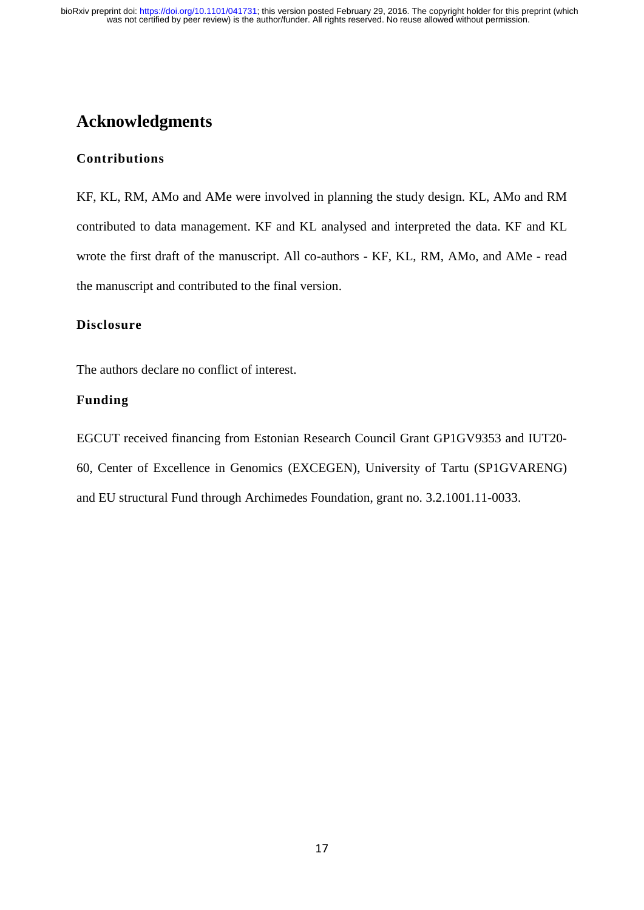## **Acknowledgments**

#### **Contributions**

KF, KL, RM, AMo and AMe were involved in planning the study design. KL, AMo and RM contributed to data management. KF and KL analysed and interpreted the data. KF and KL wrote the first draft of the manuscript. All co-authors - KF, KL, RM, AMo, and AMe - read the manuscript and contributed to the final version.

#### **Disclosure**

The authors declare no conflict of interest.

#### **Funding**

EGCUT received financing from Estonian Research Council Grant GP1GV9353 and IUT20- 60, Center of Excellence in Genomics (EXCEGEN), University of Tartu (SP1GVARENG) and EU structural Fund through Archimedes Foundation, grant no. 3.2.1001.11-0033.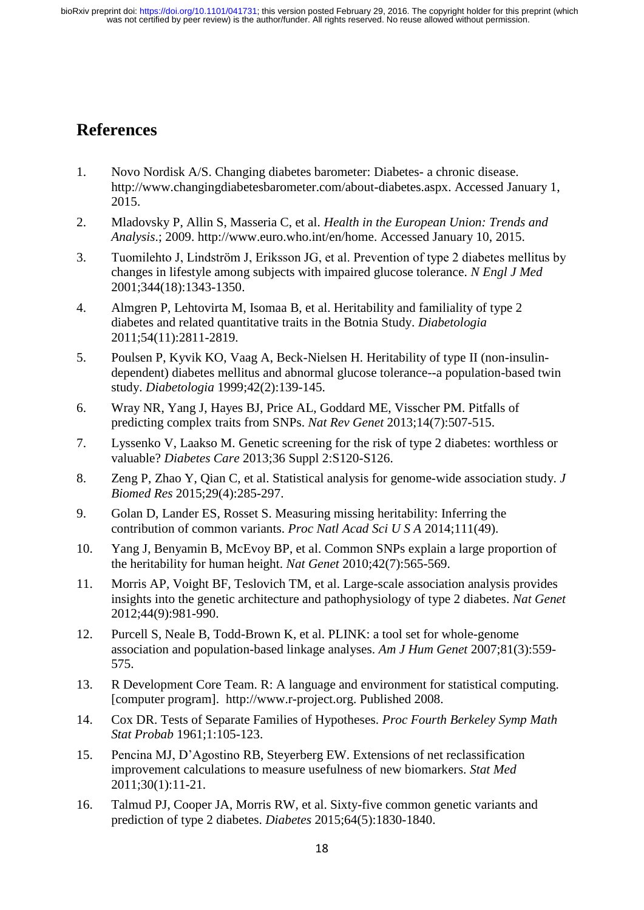## **References**

- 1. Novo Nordisk A/S. Changing diabetes barometer: Diabetes- a chronic disease. http://www.changingdiabetesbarometer.com/about-diabetes.aspx. Accessed January 1, 2015.
- 2. Mladovsky P, Allin S, Masseria C, et al. *Health in the European Union: Trends and Analysis*.; 2009. http://www.euro.who.int/en/home. Accessed January 10, 2015.
- 3. Tuomilehto J, Lindström J, Eriksson JG, et al. Prevention of type 2 diabetes mellitus by changes in lifestyle among subjects with impaired glucose tolerance. *N Engl J Med* 2001;344(18):1343-1350.
- 4. Almgren P, Lehtovirta M, Isomaa B, et al. Heritability and familiality of type 2 diabetes and related quantitative traits in the Botnia Study. *Diabetologia* 2011;54(11):2811-2819.
- 5. Poulsen P, Kyvik KO, Vaag A, Beck-Nielsen H. Heritability of type II (non-insulindependent) diabetes mellitus and abnormal glucose tolerance--a population-based twin study. *Diabetologia* 1999;42(2):139-145.
- 6. Wray NR, Yang J, Hayes BJ, Price AL, Goddard ME, Visscher PM. Pitfalls of predicting complex traits from SNPs. *Nat Rev Genet* 2013;14(7):507-515.
- 7. Lyssenko V, Laakso M. Genetic screening for the risk of type 2 diabetes: worthless or valuable? *Diabetes Care* 2013;36 Suppl 2:S120-S126.
- 8. Zeng P, Zhao Y, Qian C, et al. Statistical analysis for genome-wide association study. *J Biomed Res* 2015;29(4):285-297.
- 9. Golan D, Lander ES, Rosset S. Measuring missing heritability: Inferring the contribution of common variants. *Proc Natl Acad Sci U S A* 2014;111(49).
- 10. Yang J, Benyamin B, McEvoy BP, et al. Common SNPs explain a large proportion of the heritability for human height. *Nat Genet* 2010;42(7):565-569.
- 11. Morris AP, Voight BF, Teslovich TM, et al. Large-scale association analysis provides insights into the genetic architecture and pathophysiology of type 2 diabetes. *Nat Genet* 2012;44(9):981-990.
- 12. Purcell S, Neale B, Todd-Brown K, et al. PLINK: a tool set for whole-genome association and population-based linkage analyses. *Am J Hum Genet* 2007;81(3):559- 575.
- 13. R Development Core Team. R: A language and environment for statistical computing. [computer program]. http://www.r-project.org. Published 2008.
- 14. Cox DR. Tests of Separate Families of Hypotheses. *Proc Fourth Berkeley Symp Math Stat Probab* 1961;1:105-123.
- 15. Pencina MJ, D'Agostino RB, Steyerberg EW. Extensions of net reclassification improvement calculations to measure usefulness of new biomarkers. *Stat Med* 2011;30(1):11-21.
- 16. Talmud PJ, Cooper JA, Morris RW, et al. Sixty-five common genetic variants and prediction of type 2 diabetes. *Diabetes* 2015;64(5):1830-1840.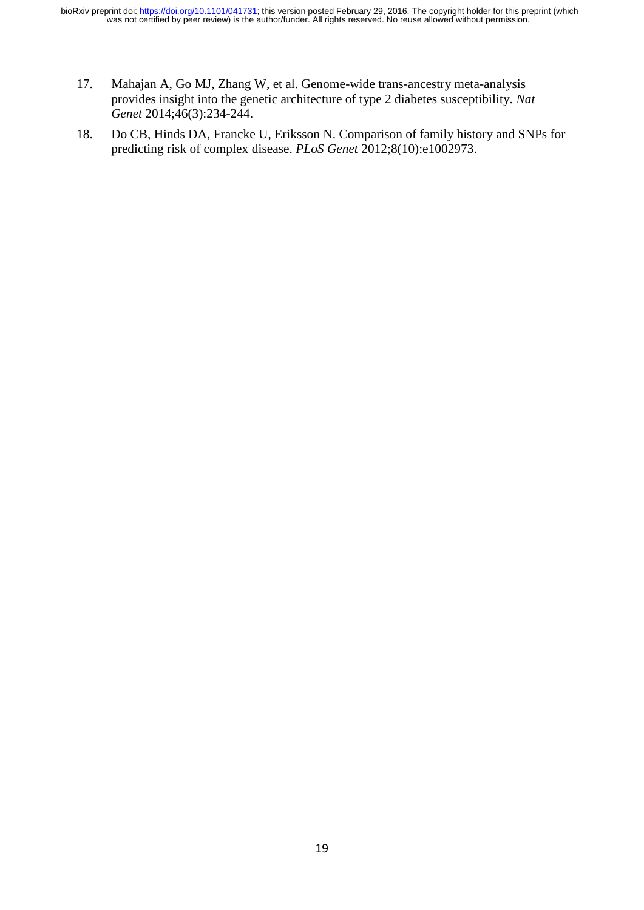- 17. Mahajan A, Go MJ, Zhang W, et al. Genome-wide trans-ancestry meta-analysis provides insight into the genetic architecture of type 2 diabetes susceptibility. *Nat Genet* 2014;46(3):234-244.
- 18. Do CB, Hinds DA, Francke U, Eriksson N. Comparison of family history and SNPs for predicting risk of complex disease. *PLoS Genet* 2012;8(10):e1002973.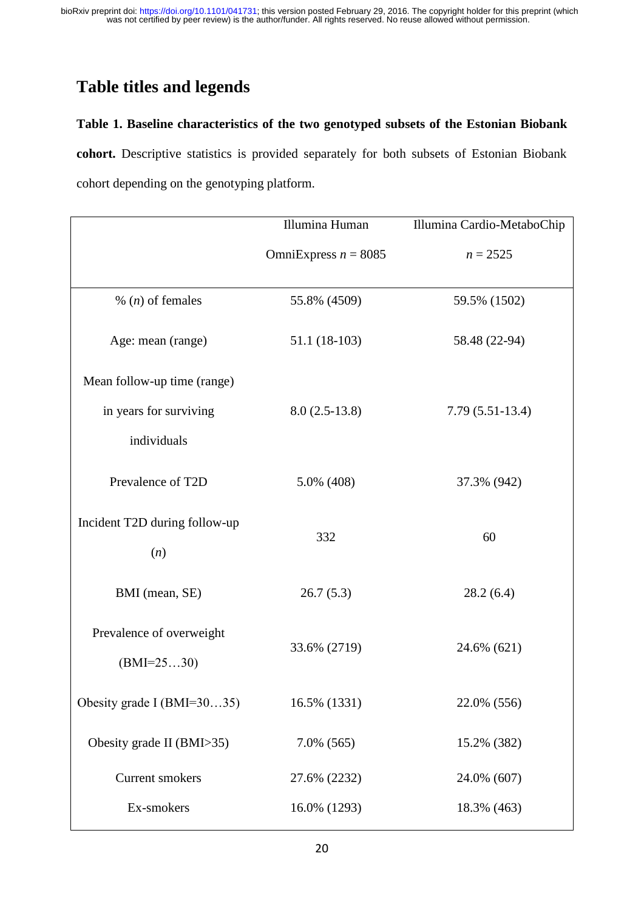## **Table titles and legends**

#### **Table 1. Baseline characteristics of the two genotyped subsets of the Estonian Biobank**

**cohort.** Descriptive statistics is provided separately for both subsets of Estonian Biobank cohort depending on the genotyping platform.

|                                          | Illumina Human         | Illumina Cardio-MetaboChip |  |  |
|------------------------------------------|------------------------|----------------------------|--|--|
|                                          | OmniExpress $n = 8085$ | $n = 2525$                 |  |  |
| % ( $n$ ) of females                     | 55.8% (4509)           | 59.5% (1502)               |  |  |
| Age: mean (range)                        | 51.1 (18-103)          | 58.48 (22-94)              |  |  |
| Mean follow-up time (range)              |                        |                            |  |  |
| in years for surviving                   | $8.0(2.5-13.8)$        | $7.79(5.51-13.4)$          |  |  |
| individuals                              |                        |                            |  |  |
| Prevalence of T2D                        | 5.0% (408)             | 37.3% (942)                |  |  |
| Incident T2D during follow-up<br>(n)     | 332                    | 60                         |  |  |
| BMI (mean, SE)                           | 26.7(5.3)              | 28.2(6.4)                  |  |  |
| Prevalence of overweight<br>$(BMI=2530)$ | 33.6% (2719)           | 24.6% (621)                |  |  |
| Obesity grade I $(BMI=3035)$             | 16.5% (1331)           | 22.0% (556)                |  |  |
| Obesity grade II (BMI>35)                | 7.0% (565)             | 15.2% (382)                |  |  |
| <b>Current smokers</b>                   | 27.6% (2232)           | 24.0% (607)                |  |  |
| Ex-smokers                               | 16.0% (1293)           | 18.3% (463)                |  |  |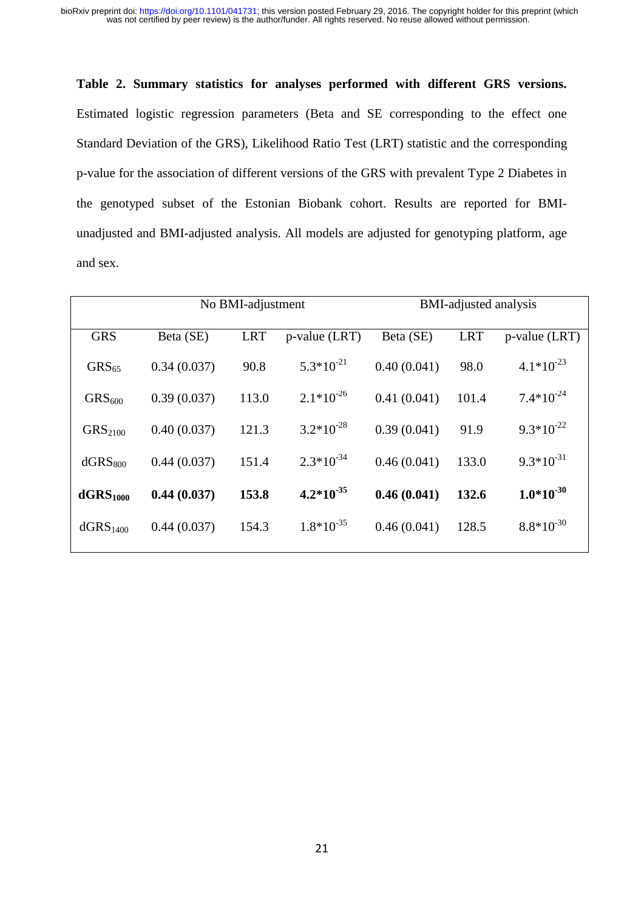# **Table 2. Summary statistics for analyses performed with different GRS versions.** Estimated logistic regression parameters (Beta and SE corresponding to the effect one Standard Deviation of the GRS), Likelihood Ratio Test (LRT) statistic and the corresponding p-value for the association of different versions of the GRS with prevalent Type 2 Diabetes in the genotyped subset of the Estonian Biobank cohort. Results are reported for BMIunadjusted and BMI-adjusted analysis. All models are adjusted for genotyping platform, age and sex.

|                      | No BMI-adjustment |            | <b>BMI-adjusted analysis</b> |             |            |                  |
|----------------------|-------------------|------------|------------------------------|-------------|------------|------------------|
| <b>GRS</b>           | Beta (SE)         | <b>LRT</b> | $p$ -value (LRT)             | Beta (SE)   | <b>LRT</b> | $p$ -value (LRT) |
| GRS <sub>65</sub>    | 0.34(0.037)       | 90.8       | $5.3*10^{-21}$               | 0.40(0.041) | 98.0       | $4.1*10^{-23}$   |
| GRS <sub>600</sub>   | 0.39(0.037)       | 113.0      | $2.1*10^{-26}$               | 0.41(0.041) | 101.4      | $7.4*10^{-24}$   |
| GRS <sub>2100</sub>  | 0.40(0.037)       | 121.3      | $3.2*10^{-28}$               | 0.39(0.041) | 91.9       | $9.3*10^{-22}$   |
| dGRS <sub>800</sub>  | 0.44(0.037)       | 151.4      | $2.3*10^{-34}$               | 0.46(0.041) | 133.0      | $9.3*10^{-31}$   |
| dGRS <sub>1000</sub> | 0.44(0.037)       | 153.8      | $4.2*10^{-35}$               | 0.46(0.041) | 132.6      | $1.0*10^{-30}$   |
| dGRS <sub>1400</sub> | 0.44(0.037)       | 154.3      | $1.8*10^{-35}$               | 0.46(0.041) | 128.5      | $8.8*10^{-30}$   |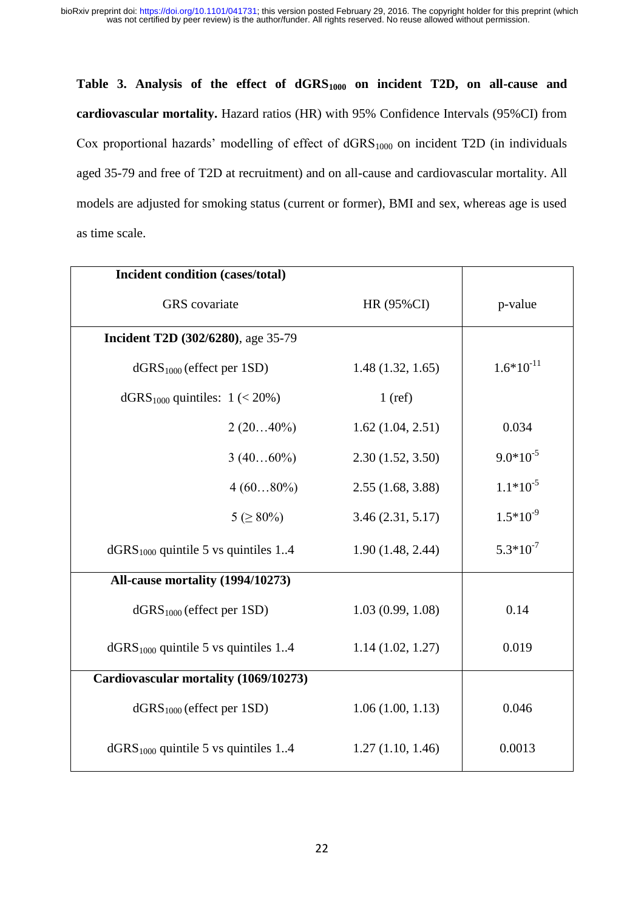**Table 3. Analysis of the effect of dGRS1000 on incident T2D, on all-cause and cardiovascular mortality.** Hazard ratios (HR) with 95% Confidence Intervals (95%CI) from Cox proportional hazards' modelling of effect of  $dGRS<sub>1000</sub>$  on incident T2D (in individuals aged 35-79 and free of T2D at recruitment) and on all-cause and cardiovascular mortality. All models are adjusted for smoking status (current or former), BMI and sex, whereas age is used as time scale.

| Incident condition (cases/total)             |                  |                |
|----------------------------------------------|------------------|----------------|
| <b>GRS</b> covariate                         | HR (95%CI)       | p-value        |
| <b>Incident T2D (302/6280)</b> , age 35-79   |                  |                |
| $dGRS1000$ (effect per 1SD)                  | 1.48(1.32, 1.65) | $1.6*10^{-11}$ |
| dGRS <sub>1000</sub> quintiles: $1 (< 20\%)$ | $1$ (ref)        |                |
| $2(2040\%)$                                  | 1.62(1.04, 2.51) | 0.034          |
| $3(4060\%)$                                  | 2.30(1.52, 3.50) | $9.0*10^{-5}$  |
| $4(6080\%)$                                  | 2.55(1.68, 3.88) | $1.1*10^{-5}$  |
| $5 ( \geq 80\%)$                             | 3.46(2.31, 5.17) | $1.5*10^{-9}$  |
| $dGRS1000$ quintile 5 vs quintiles 14        | 1.90(1.48, 2.44) | $5.3*10^{-7}$  |
| All-cause mortality (1994/10273)             |                  |                |
| $dGRS1000$ (effect per 1SD)                  | 1.03(0.99, 1.08) | 0.14           |
| $dGRS1000$ quintile 5 vs quintiles 14        | 1.14(1.02, 1.27) | 0.019          |
| Cardiovascular mortality (1069/10273)        |                  |                |
| $dGRS1000$ (effect per 1SD)                  | 1.06(1.00, 1.13) | 0.046          |
| $dGRS1000$ quintile 5 vs quintiles 14        | 1.27(1.10, 1.46) | 0.0013         |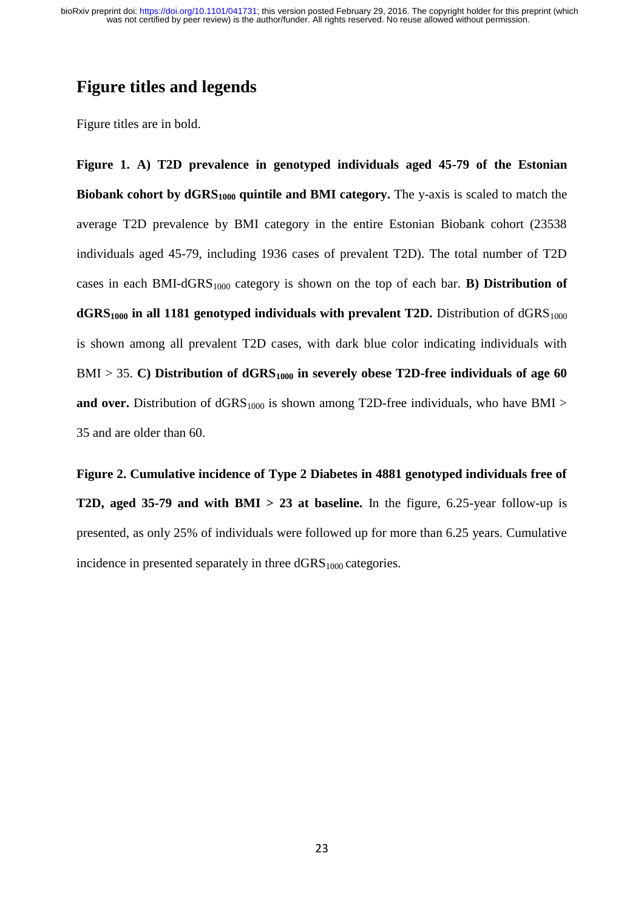## **Figure titles and legends**

Figure titles are in bold.

**Figure 1. A) T2D prevalence in genotyped individuals aged 45-79 of the Estonian Biobank cohort by dGRS1000 quintile and BMI category.** The y-axis is scaled to match the average T2D prevalence by BMI category in the entire Estonian Biobank cohort (23538 individuals aged 45-79, including 1936 cases of prevalent T2D). The total number of T2D cases in each BMI-dGRS<sub>1000</sub> category is shown on the top of each bar. **B) Distribution of**  $dGRS<sub>1000</sub>$  in all 1181 genotyped individuals with prevalent T2D. Distribution of  $dGRS<sub>1000</sub>$ is shown among all prevalent T2D cases, with dark blue color indicating individuals with BMI > 35. **C) Distribution of dGRS1000 in severely obese T2D-free individuals of age 60 and over.** Distribution of  $dGRS<sub>1000</sub>$  is shown among T2D-free individuals, who have BMI > 35 and are older than 60.

**Figure 2. Cumulative incidence of Type 2 Diabetes in 4881 genotyped individuals free of T2D, aged 35-79 and with BMI > 23 at baseline.** In the figure, 6.25-year follow-up is presented, as only 25% of individuals were followed up for more than 6.25 years. Cumulative incidence in presented separately in three  $dGRS<sub>1000</sub>$  categories.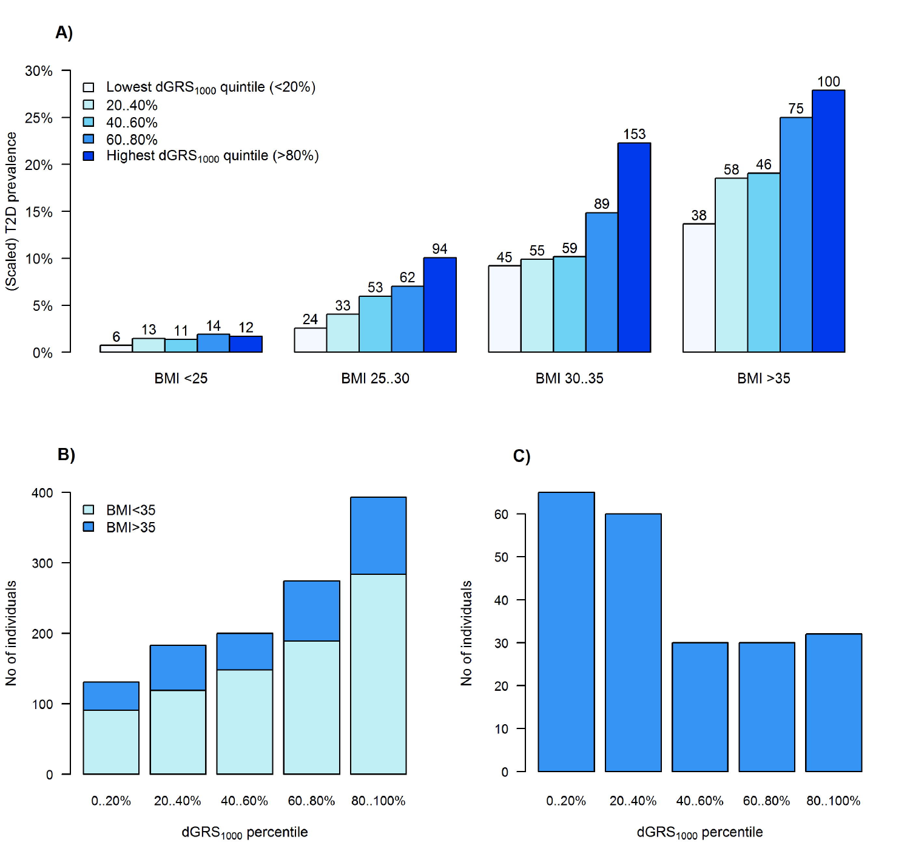A)



 $B)$